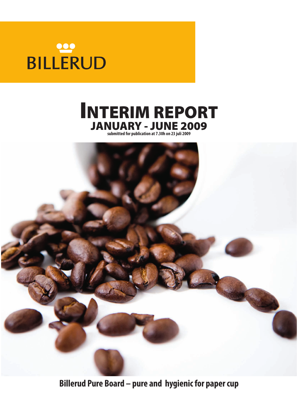# **BILLERUD**





**Billerud Pure Board – pure and hygienic for paper cup**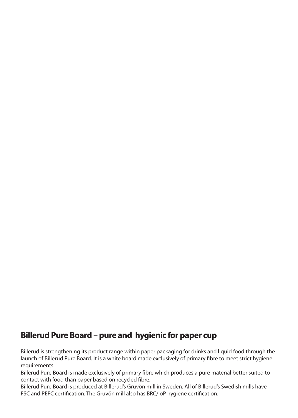## **Billerud Pure Board – pure and hygienic for paper cup**

Billerud is strengthening its product range within paper packaging for drinks and liquid food through the launch of Billerud Pure Board. It is a white board made exclusively of primary fibre to meet strict hygiene requirements.

Billerud Pure Board is made exclusively of primary fibre which produces a pure material better suited to contact with food than paper based on recycled fibre.

Billerud Pure Board is produced at Billerud's Gruvön mill in Sweden. All of Billerud's Swedish mills have FSC and PEFC certification. The Gruvön mill also has BRC/IoP hygiene certification.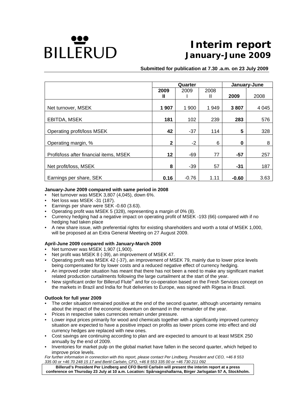

# **Interim report January-June 2009**

 **Submitted for publication at 7.30 .a.m. on 23 July 2009** 

|                                         | Quarter |         |      | January-June |         |  |
|-----------------------------------------|---------|---------|------|--------------|---------|--|
|                                         | 2009    | 2009    | 2008 |              |         |  |
|                                         | н       |         | Ш    | 2009         | 2008    |  |
| Net turnover, MSEK                      | 1 907   | 1 900   | 1949 | 3807         | 4 0 4 5 |  |
| EBITDA, MSEK                            | 181     | 102     | 239  | 283          | 576     |  |
| Operating profit/loss MSEK              | 42      | $-37$   | 114  | 5            | 328     |  |
| Operating margin, %                     | 2       | $-2$    | 6    | 0            | 8       |  |
| Profit/loss after financial items, MSEK | 12      | -69     | 77   | $-57$        | 257     |  |
| Net profit/loss, MSEK                   | 8       | $-39$   | 57   | $-31$        | 187     |  |
| Earnings per share, SEK                 | 0.16    | $-0.76$ | 1.11 | $-0.60$      | 3.63    |  |

#### **January-June 2009 compared with same period in 2008**

- Net turnover was MSEK 3,807 (4,045), down 6%.
- Net loss was MSEK -31 (187).
- Earnings per share were SEK -0.60 (3.63).
- Operating profit was MSEK 5 (328), representing a margin of 0% (8).
- Currency hedging had a negative impact on operating profit of MSEK -193 (66) compared with if no hedging had taken place
- A new share issue, with preferential rights for existing shareholders and worth a total of MSEK 1,000, will be proposed at an Extra General Meeting on 27 August 2009.

#### **April-June 2009 compared with January-March 2009**

- Net turnover was MSEK 1,907 (1,900).
- Net profit was MSEK 8 (-39), an improvement of MSEK 47.
- Operating profit was MSEK 42 (-37), an improvement of MSEK 79, mainly due to lower price levels being compensated for by lower costs and a reduced negative effect of currency hedging.
- An improved order situation has meant that there has not been a need to make any significant market related production curtailments following the large curtailment at the start of the year.
- New significant order for Billerud Flute*®* and for co-operation based on the Fresh Services concept on the markets in Brazil and India for fruit deliveries to Europe, was signed with Rigesa in Brazil.

#### **Outlook for full year 2009**

- The order situation remained positive at the end of the second quarter, although uncertainty remains about the impact of the economic downturn on demand in the remainder of the year.
- Prices in respective sales currencies remain under pressure.
- Lower input prices primarily for wood and chemicals together with a significantly improved currency situation are expected to have a positive impact on profits as lower prices come into effect and old currency hedges are replaced with new ones.
- Cost savings are continuing according to plan and are expected to amount to at least MSEK 250 annually by the end of 2009.
- Inventories for market pulp on the global market have fallen in the second quarter, which helped to improve price levels.

*For further information in connection with this report, please contact Per Lindberg, President and CEO, +46 8 553 335 00 or +46 70 248 15 17 and Bertil Carlsén, CFO, +46 8 553 335 00 or +46 730 211 092*

**Billerud's President Per Lindberg and CFO Bertil Carlsén will present the interim report at a press conference on Thursday 23 July at 10 a.m. Location: Spårvagnshallarna, Birger Jarlsgatan 57 A***,* **Stockholm.**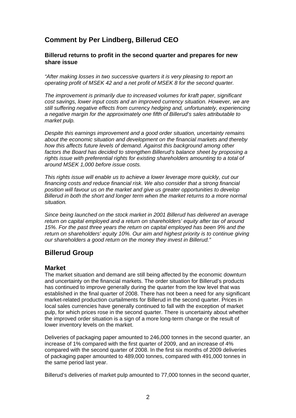## **Comment by Per Lindberg, Billerud CEO**

#### **Billerud returns to profit in the second quarter and prepares for new share issue**

*"After making losses in two successive quarters it is very pleasing to report an operating profit of MSEK 42 and a net profit of MSEK 8 for the second quarter.* 

*The improvement is primarily due to increased volumes for kraft paper, significant cost savings, lower input costs and an improved currency situation. However, we are still suffering negative effects from currency hedging and, unfortunately, experiencing a negative margin for the approximately one fifth of Billerud's sales attributable to market pulp.* 

*Despite this earnings improvement and a good order situation, uncertainty remains about the economic situation and development on the financial markets and thereby how this affects future levels of demand. Against this background among other factors the Board has decided to strengthen Billerud's balance sheet by proposing a rights issue with preferential rights for existing shareholders amounting to a total of around MSEK 1,000 before issue costs.* 

*This rights issue will enable us to achieve a lower leverage more quickly, cut our financing costs and reduce financial risk. We also consider that a strong financial position will favour us on the market and give us greater opportunities to develop Billerud in both the short and longer term when the market returns to a more normal situation.* 

*Since being launched on the stock market in 2001 Billerud has delivered an average return on capital employed and a return on shareholders' equity after tax of around 15%. For the past three years the return on capital employed has been 9% and the return on shareholders' equity 10%. Our aim and highest priority is to continue giving our shareholders a good return on the money they invest in Billerud."* 

## **Billerud Group**

#### **Market**

The market situation and demand are still being affected by the economic downturn and uncertainty on the financial markets. The order situation for Billerud's products has continued to improve generally during the quarter from the low level that was established in the final quarter of 2008. There has not been a need for any significant market-related production curtailments for Billerud in the second quarter. Prices in local sales currencies have generally continued to fall with the exception of market pulp, for which prices rose in the second quarter. There is uncertainty about whether the improved order situation is a sign of a more long-term change or the result of lower inventory levels on the market.

Deliveries of packaging paper amounted to 246,000 tonnes in the second quarter, an increase of 1% compared with the first quarter of 2009, and an increase of 4% compared with the second quarter of 2008. In the first six months of 2009 deliveries of packaging paper amounted to 489,000 tonnes, compared with 491,000 tonnes in the same period last year.

Billerud's deliveries of market pulp amounted to 77,000 tonnes in the second quarter,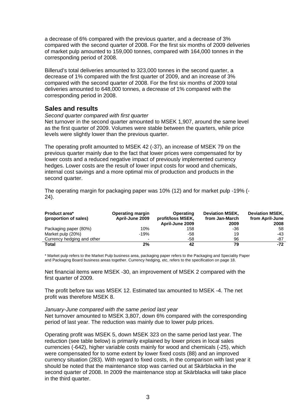a decrease of 6% compared with the previous quarter, and a decrease of 3% compared with the second quarter of 2008. For the first six months of 2009 deliveries of market pulp amounted to 159,000 tonnes, compared with 164,000 tonnes in the corresponding period of 2008.

Billerud's total deliveries amounted to 323,000 tonnes in the second quarter, a decrease of 1% compared with the first quarter of 2009, and an increase of 3% compared with the second quarter of 2008. For the first six months of 2009 total deliveries amounted to 648,000 tonnes, a decrease of 1% compared with the corresponding period in 2008.

## **Sales and results**

#### *Second quarter compared with first quarter*

Net turnover in the second quarter amounted to MSEK 1,907, around the same level as the first quarter of 2009. Volumes were stable between the quarters, while price levels were slightly lower than the previous quarter.

The operating profit amounted to MSEK 42 (-37), an increase of MSEK 79 on the previous quarter mainly due to the fact that lower prices were compensated for by lower costs and a reduced negative impact of previously implemented currency hedges. Lower costs are the result of lower input costs for wood and chemicals, internal cost savings and a more optimal mix of production and products in the second quarter.

The operating margin for packaging paper was 10% (12) and for market pulp -19% (- 24).

| <b>Product area*</b><br>(proportion of sales) | Operating margin<br>April-June 2009 | Operating<br>profit/loss MSEK,<br>April-June 2009 | <b>Deviation MSEK,</b><br>from Jan-March<br>2009 | <b>Deviation MSEK,</b><br>from April-June<br>2008 |
|-----------------------------------------------|-------------------------------------|---------------------------------------------------|--------------------------------------------------|---------------------------------------------------|
| Packaging paper (80%)                         | 10%                                 | 158                                               | -36                                              | 58                                                |
| Market pulp (20%)                             | $-19%$                              | -58                                               | 19                                               | $-43$                                             |
| Currency hedging and other                    | $\overline{\phantom{0}}$            | -58                                               | 96                                               | -87                                               |
| Total                                         | 2%                                  | 42                                                | 79                                               | $-72$                                             |

\* Market pulp refers to the Market Pulp business area, packaging paper refers to the Packaging and Speciality Paper and Packaging Board business areas together. Currency hedging, etc, refers to the specification on page 18.

Net financial items were MSEK -30, an improvement of MSEK 2 compared with the first quarter of 2009.

The profit before tax was MSEK 12. Estimated tax amounted to MSEK -4. The net profit was therefore MSEK 8.

#### *January-June compared with the same period last year*

Net turnover amounted to MSEK 3,807, down 6% compared with the corresponding period of last year. The reduction was mainly due to lower pulp prices.

Operating profit was MSEK 5, down MSEK 323 on the same period last year. The reduction (see table below) is primarily explained by lower prices in local sales currencies (-642), higher variable costs mainly for wood and chemicals (-25), which were compensated for to some extent by lower fixed costs (88) and an improved currency situation (283). With regard to fixed costs, in the comparison with last year it should be noted that the maintenance stop was carried out at Skärblacka in the second quarter of 2008. In 2009 the maintenance stop at Skärblacka will take place in the third quarter.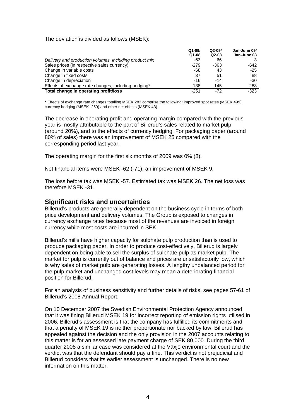#### The deviation is divided as follows (MSEK):

|                                                        | $Q1 - 09$ | $Q2-09/$ | Jan-June 09/ |
|--------------------------------------------------------|-----------|----------|--------------|
|                                                        | $Q1-08$   | $Q2-08$  | Jan-June 08  |
| Delivery and production volumes, including product mix | -63       | 66       |              |
| Sales prices (in respective sales currency)            | $-279$    | -363     | -642         |
| Change in variable costs                               | -68       | 43       | $-25$        |
| Change in fixed costs                                  | 37        | 51       | 88           |
| Change in depreciation                                 | $-16$     | $-14$    | $-30$        |
| Effects of exchange rate changes, including hedging*   | 138       | 145      | 283          |
| Total change in operating profit/loss                  | $-251$    | $-72$    | -323         |

\* Effects of exchange rate changes totalling MSEK 283 comprise the following: improved spot rates (MSEK 499) currency hedging (MSEK -259) and other net effects (MSEK 43).

The decrease in operating profit and operating margin compared with the previous year is mostly attributable to the part of Billerud's sales related to market pulp (around 20%), and to the effects of currency hedging. For packaging paper (around 80% of sales) there was an improvement of MSEK 25 compared with the corresponding period last year.

The operating margin for the first six months of 2009 was 0% (8).

Net financial items were MSEK -62 (-71), an improvement of MSEK 9.

The loss before tax was MSEK -57. Estimated tax was MSEK 26. The net loss was therefore MSEK -31.

#### **Significant risks and uncertainties**

Billerud's products are generally dependent on the business cycle in terms of both price development and delivery volumes. The Group is exposed to changes in currency exchange rates because most of the revenues are invoiced in foreign currency while most costs are incurred in SEK.

Billerud's mills have higher capacity for sulphate pulp production than is used to produce packaging paper. In order to produce cost-effectively, Billerud is largely dependent on being able to sell the surplus of sulphate pulp as market pulp. The market for pulp is currently out of balance and prices are unsatisfactorily low, which is why sales of market pulp are generating losses. A lengthy unbalanced period for the pulp market and unchanged cost levels may mean a deteriorating financial position for Billerud.

For an analysis of business sensitivity and further details of risks, see pages 57-61 of Billerud's 2008 Annual Report.

On 10 December 2007 the Swedish Environmental Protection Agency announced that it was fining Billerud MSEK 19 for incorrect reporting of emission rights utilised in 2006. Billerud's assessment is that the company has fulfilled its commitments and that a penalty of MSEK 19 is neither proportionate nor backed by law. Billerud has appealed against the decision and the only provision in the 2007 accounts relating to this matter is for an assessed late payment charge of SEK 80,000. During the third quarter 2008 a similar case was considered at the Växjö environmental court and the verdict was that the defendant should pay a fine. This verdict is not prejudicial and Billerud considers that its earlier assessment is unchanged. There is no new information on this matter.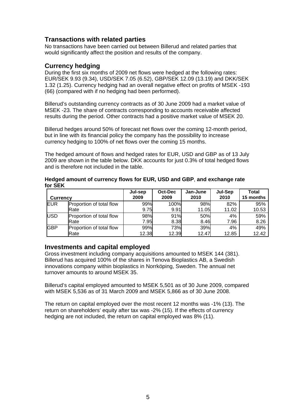## **Transactions with related parties**

No transactions have been carried out between Billerud and related parties that would significantly affect the position and results of the company.

### **Currency hedging**

During the first six months of 2009 net flows were hedged at the following rates: EUR/SEK 9.93 (9.34), USD/SEK 7.05 (6.52), GBP/SEK 12.09 (13.19) and DKK/SEK 1.32 (1.25). Currency hedging had an overall negative effect on profits of MSEK -193 (66) (compared with if no hedging had been performed).

Billerud's outstanding currency contracts as of 30 June 2009 had a market value of MSEK -23. The share of contracts corresponding to accounts receivable affected results during the period. Other contracts had a positive market value of MSEK 20.

Billerud hedges around 50% of forecast net flows over the coming 12-month period, but in line with its financial policy the company has the possibility to increase currency hedging to 100% of net flows over the coming 15 months.

The hedged amount of flows and hedged rates for EUR, USD and GBP as of 13 July 2009 are shown in the table below. DKK accounts for just 0.3% of total hedged flows and is therefore not included in the table.

| <b>Currency</b> |                          | Jul-sep<br>2009 | Oct-Dec<br>2009 | Jan-June<br>2010 | Jul-Sep<br>2010 | Total<br>15 months |
|-----------------|--------------------------|-----------------|-----------------|------------------|-----------------|--------------------|
| <b>EUR</b>      | Proportion of total flow | 99%             | 100%            | 98%              | 82%             | 95%                |
|                 | Rate                     | 9.75            | 9.91            | 11.05            | 11.02           | 10.53              |
| <b>USD</b>      | Proportion of total flow | 98%             | 91%             | 50%              | 4%              | 59%                |
|                 | Rate                     | 7.95            | 8.38            | 8.46             | 7.96            | 8.26               |
| <b>GBP</b>      | Proportion of total flow | 99%             | 73%             | 39%              | 4%              | 49%                |
|                 | Rate                     | 12.38           | 12.39           | 12.47            | 12.85           | 12.42              |

**Hedged amount of currency flows for EUR, USD and GBP**, **and exchange rate for SEK** 

## **Investments and capital employed**

Gross investment including company acquisitions amounted to MSEK 144 (381). Billerud has acquired 100% of the shares in Tenova Bioplastics AB, a Swedish innovations company within bioplastics in Norrköping, Sweden. The annual net turnover amounts to around MSEK 35.

Billerud's capital employed amounted to MSEK 5,501 as of 30 June 2009, compared with MSEK 5,536 as of 31 March 2009 and MSEK 5,866 as of 30 June 2008.

The return on capital employed over the most recent 12 months was -1% (13). The return on shareholders' equity after tax was -2% (15). If the effects of currency hedging are not included, the return on capital employed was 8% (11).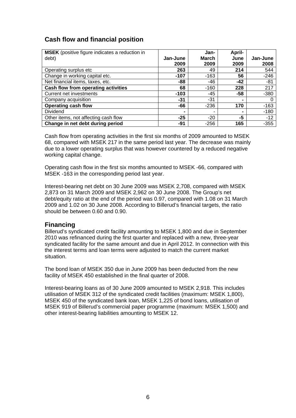## **Cash flow and financial position**

| <b>MSEK</b> (positive figure indicates a reduction in |                | Jan-         | April-         |          |
|-------------------------------------------------------|----------------|--------------|----------------|----------|
| debt)                                                 | Jan-June       | <b>March</b> | June           | Jan-June |
|                                                       | 2009           | 2009         | 2009           | 2008     |
| Operating surplus etc                                 | 263            | 49           | 214            | 544      |
| Change in working capital etc.                        | -107           | $-163$       | 56             | $-246$   |
| Net financial items, taxes, etc.                      | -88            | -46          | $-42$          | -81      |
| Cash flow from operating activities                   | 68             | $-160$       | 228            | 217      |
| <b>Current net investments</b>                        | $-103$         | -45          | $-58$          | $-380$   |
| Company acquisition                                   | $-31$          | $-31$        | $\blacksquare$ |          |
| <b>Operating cash flow</b>                            | $-66$          | $-236$       | 170            | $-163$   |
| <b>Dividend</b>                                       | $\blacksquare$ |              | -              | $-180$   |
| Other items, not affecting cash flow                  | $-25$          | $-20$        | -5             | $-12$    |
| Change in net debt during period                      | -91            | $-256$       | 165            | $-355$   |

Cash flow from operating activities in the first six months of 2009 amounted to MSEK 68, compared with MSEK 217 in the same period last year. The decrease was mainly due to a lower operating surplus that was however countered by a reduced negative working capital change.

Operating cash flow in the first six months amounted to MSEK -66, compared with MSEK -163 in the corresponding period last year.

Interest-bearing net debt on 30 June 2009 was MSEK 2,708, compared with MSEK 2,873 on 31 March 2009 and MSEK 2,962 on 30 June 2008. The Group's net debt/equity ratio at the end of the period was 0.97, compared with 1.08 on 31 March 2009 and 1.02 on 30 June 2008. According to Billerud's financial targets, the ratio should be between 0.60 and 0.90.

## **Financing**

Billerud's syndicated credit facility amounting to MSEK 1,800 and due in September 2010 was refinanced during the first quarter and replaced with a new, three-year syndicated facility for the same amount and due in April 2012. In connection with this the interest terms and loan terms were adjusted to match the current market situation.

The bond loan of MSEK 350 due in June 2009 has been deducted from the new facility of MSEK 450 established in the final quarter of 2008.

Interest-bearing loans as of 30 June 2009 amounted to MSEK 2,918. This includes utilisation of MSEK 312 of the syndicated credit facilities (maximum: MSEK 1,800), MSEK 450 of the syndicated bank loan, MSEK 1,225 of bond loans, utilisation of MSEK 919 of Billerud's commercial paper programme (maximum: MSEK 1,500) and other interest-bearing liabilities amounting to MSEK 12.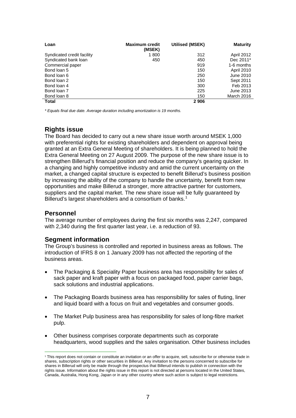| Loan                       | <b>Maximum credit</b><br>(MSEK) | <b>Utilised (MSEK)</b> | <b>Maturity</b>   |
|----------------------------|---------------------------------|------------------------|-------------------|
| Syndicated credit facility | 1800                            | 312                    | April 2012        |
| Syndicated bank loan       | 450                             | 450                    | Dec 2011*         |
| Commercial paper           |                                 | 919                    | 1-6 months        |
| Bond loan 5                |                                 | 150                    | <b>April 2010</b> |
| Bond loan 6                |                                 | 250                    | June 2010         |
| Bond loan 2                |                                 | 150                    | Sept 2011         |
| Bond loan 4                |                                 | 300                    | Feb 2013          |
| Bond loan 7                |                                 | 225                    | June 2013         |
| Bond loan 8                |                                 | 150                    | March 2016        |
| <b>Total</b>               |                                 | 2906                   |                   |

*\* Equals final due date. Average duration including amortization is 19 months.* 

## **Rights issue**

The Board has decided to carry out a new share issue worth around MSEK 1,000 with preferential rights for existing shareholders and dependent on approval being granted at an Extra General Meeting of shareholders. It is being planned to hold the Extra General Meeting on 27 August 2009. The purpose of the new share issue is to strengthen Billerud's financial position and reduce the company's gearing quicker. In a changing and highly competitive industry and amid the current uncertainty on the market, a changed capital structure is expected to benefit Billerud's business position by increasing the ability of the company to handle the uncertainty, benefit from new opportunities and make Billerud a stronger, more attractive partner for customers, suppliers and the capital market. The new share issue will be fully guaranteed by Billerud's largest shareholders and a consortium of banks.<sup>[1](#page-8-0)</sup>

## **Personnel**

The average number of employees during the first six months was 2,247, compared with 2,340 during the first quarter last year, i.e. a reduction of 93.

## **Segment information**

The Group's business is controlled and reported in business areas as follows. The introduction of IFRS 8 on 1 January 2009 has not affected the reporting of the business areas.

- The Packaging & Speciality Paper business area has responsibility for sales of sack paper and kraft paper with a focus on packaged food, paper carrier bags, sack solutions and industrial applications.
- The Packaging Boards business area has responsibility for sales of fluting, liner and liquid board with a focus on fruit and vegetables and consumer goods.
- The Market Pulp business area has responsibility for sales of long-fibre market pulp.
- Other business comprises corporate departments such as corporate headquarters, wood supplies and the sales organisation. Other business includes

<span id="page-8-0"></span><sup>&</sup>lt;sup>1</sup> This report does not contain or constitute an invitation or an offer to acquire, sell, subscribe for or otherwise trade in shares, subscription rights or other securities in Billerud. Any invitation to the persons concerned to subscribe for shares in Billerud will only be made through the prospectus that Billerud intends to publish in connection with the rights issue. Information about the rights issue in this report is not directed at persons located in the United States, Canada, Australia, Hong Kong, Japan or in any other country where such action is subject to legal restrictions.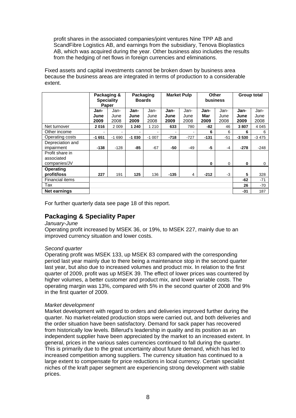profit shares in the associated companies/joint ventures Nine TPP AB and ScandFibre Logistics AB, and earnings from the subsidiary, Tenova Bioplastics AB, which was acquired during the year. Other business also includes the results from the hedging of net flows in foreign currencies and eliminations.

Fixed assets and capital investments cannot be broken down by business area because the business areas are integrated in terms of production to a considerable extent.

|                                               | Packaging &<br><b>Speciality</b> | Paper                |                      | Packaging<br><b>Boards</b> |                          | <b>Market Pulp</b>       | <b>Other</b><br>business |                      | <b>Group total</b>   |                      |
|-----------------------------------------------|----------------------------------|----------------------|----------------------|----------------------------|--------------------------|--------------------------|--------------------------|----------------------|----------------------|----------------------|
|                                               | Jan-<br>June<br>2009             | Jan-<br>June<br>2008 | Jan-<br>June<br>2009 | Jan-<br>June<br>2008       | Jan-<br>June<br>2009     | Jan-<br>June<br>2008     | Jan-<br>Mar<br>2009      | Jan-<br>June<br>2008 | Jan-<br>June<br>2009 | Jan-<br>June<br>2008 |
| Net turnover                                  | 2016                             | 2 0 0 9              | 1 240                | 1 2 1 0                    | 633                      | 780                      | -82                      | 46                   | 3807                 | 4 0 4 5              |
| Other income                                  | $\overline{\phantom{a}}$         | ۰                    | ۰                    | ۰                          | $\overline{\phantom{a}}$ | $\overline{\phantom{a}}$ | 6                        | 6                    | 6                    | 6                    |
| Operating costs                               | $-1651$                          | $-1690$              | $-1030$              | $-1007$                    | -718                     | $-727$                   | $-131$                   | $-51$                | $-3530$              | $-3475$              |
| Depreciation and<br>impairment                | $-138$                           | $-128$               | -85                  | $-67$                      | -50                      | -49                      | -5                       | $-4$                 | $-278$               | $-248$               |
| Profit share in<br>associated<br>companies/JV |                                  |                      |                      |                            |                          |                          | $\bf{0}$                 | 0                    | 0                    | 0                    |
| <b>Operating</b><br>profit/loss               | 227                              | 191                  | 125                  | 136                        | -135                     | 4                        | $-212$                   | -3                   | 5                    | 328                  |
| <b>Financial items</b>                        |                                  |                      |                      |                            |                          |                          |                          |                      | $-62$                | $-71$                |
| Tax                                           |                                  |                      |                      |                            |                          |                          |                          |                      | 26                   | -70                  |
| Net earnings                                  |                                  |                      |                      |                            |                          |                          |                          |                      | -31                  | 187                  |

For further quarterly data see page 18 of this report.

## **Packaging & Speciality Paper**

#### *January-June*

Operating profit increased by MSEK 36, or 19%, to MSEK 227, mainly due to an improved currency situation and lower costs.

#### *Second quarter*

Operating profit was MSEK 133, up MSEK 83 compared with the corresponding period last year mainly due to there being a maintenance stop in the second quarter last year, but also due to increased volumes and product mix. In relation to the first quarter of 2009, profit was up MSEK 39. The effect of lower prices was countered by higher volumes, a better customer and product mix, and lower variable costs. The operating margin was 13%, compared with 5% in the second quarter of 2008 and 9% in the first quarter of 2009.

#### *Market development*

Market development with regard to orders and deliveries improved further during the quarter. No market-related production stops were carried out, and both deliveries and the order situation have been satisfactory. Demand for sack paper has recovered from historically low levels. Billerud's leadership in quality and its position as an independent supplier have been appreciated by the market to an increased extent. In general, prices in the various sales currencies continued to fall during the quarter. This is primarily due to the great uncertainty about future demand, which has led to increased competition among suppliers. The currency situation has continued to a large extent to compensate for price reductions in local currency. Certain specialist niches of the kraft paper segment are experiencing strong development with stable prices.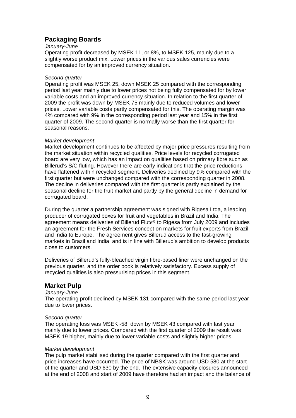## **Packaging Boards**

#### *January-June*

Operating profit decreased by MSEK 11, or 8%, to MSEK 125, mainly due to a slightly worse product mix. Lower prices in the various sales currencies were compensated for by an improved currency situation.

#### *Second quarter*

Operating profit was MSEK 25, down MSEK 25 compared with the corresponding period last year mainly due to lower prices not being fully compensated for by lower variable costs and an improved currency situation. In relation to the first quarter of 2009 the profit was down by MSEK 75 mainly due to reduced volumes and lower prices. Lower variable costs partly compensated for this. The operating margin was 4% compared with 9% in the corresponding period last year and 15% in the first quarter of 2009. The second quarter is normally worse than the first quarter for seasonal reasons.

#### *Market development*

Market development continues to be affected by major price pressures resulting from the market situation within recycled qualities. Price levels for recycled corrugated board are very low, which has an impact on qualities based on primary fibre such as Billerud's S/C fluting. However there are early indications that the price reductions have flattened within recycled segment. Deliveries declined by 9% compared with the first quarter but were unchanged compared with the corresponding quarter in 2008. The decline in deliveries compared with the first quarter is partly explained by the seasonal decline for the fruit market and partly by the general decline in demand for corrugated board.

During the quarter a partnership agreement was signed with Rigesa Ltda, a leading producer of corrugated boxes for fruit and vegetables in Brazil and India. The agreement means deliveries of Billerud Flute® to Rigesa from July 2009 and includes an agreement for the Fresh Services concept on markets for fruit exports from Brazil and India to Europe. The agreement gives Billerud access to the fast-growing markets in Brazil and India, and is in line with Billerud's ambition to develop products close to customers.

Deliveries of Billerud's fully-bleached virgin fibre-based liner were unchanged on the previous quarter, and the order book is relatively satisfactory. Excess supply of recycled qualities is also pressurising prices in this segment.

## **Market Pulp**

#### *January-June*

The operating profit declined by MSEK 131 compared with the same period last year due to lower prices.

#### *Second quarter*

The operating loss was MSEK -58, down by MSEK 43 compared with last year mainly due to lower prices. Compared with the first quarter of 2009 the result was MSEK 19 higher, mainly due to lower variable costs and slightly higher prices.

#### *Market development*

The pulp market stabilised during the quarter compared with the first quarter and price increases have occurred. The price of NBSK was around USD 580 at the start of the quarter and USD 630 by the end. The extensive capacity closures announced at the end of 2008 and start of 2009 have therefore had an impact and the balance of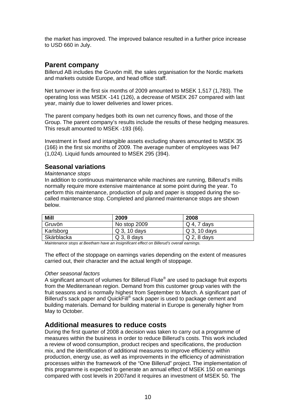the market has improved. The improved balance resulted in a further price increase to USD 660 in July.

## **Parent company**

Billerud AB includes the Gruvön mill, the sales organisation for the Nordic markets and markets outside Europe, and head office staff.

Net turnover in the first six months of 2009 amounted to MSEK 1,517 (1,783). The operating loss was MSEK -141 (126), a decrease of MSEK 267 compared with last year, mainly due to lower deliveries and lower prices.

The parent company hedges both its own net currency flows, and those of the Group. The parent company's results include the results of these hedging measures. This result amounted to MSEK -193 (66).

Investment in fixed and intangible assets excluding shares amounted to MSEK 35 (166) in the first six months of 2009. The average number of employees was 947 (1,024). Liquid funds amounted to MSEK 295 (394).

## **Seasonal variations**

*Maintenance stops* 

In addition to continuous maintenance while machines are running, Billerud's mills normally require more extensive maintenance at some point during the year. To perform this maintenance, production of pulp and paper is stopped during the socalled maintenance stop. Completed and planned maintenance stops are shown below.

| <b>Mill</b> | 2009           | 2008          |
|-------------|----------------|---------------|
| Gruvön      | No stop 2009   | $Q$ 4, 7 days |
| Karlsborg   | Q 3, 10 days   | Q 3, 10 days  |
| Skärblacka  | $Q_3$ , 8 days | $Q$ 2, 8 days |

*Maintenance stops at Beetham have an insignificant effect on Billerud's overall earnings.* 

The effect of the stoppage on earnings varies depending on the extent of measures carried out, their character and the actual length of stoppage.

#### *Other seasonal factors*

A significant amount of volumes for Billerud Flute® are used to package fruit exports from the Mediterranean region. Demand from this customer group varies with the fruit seasons and is normally highest from September to March. A significant part of Billerud's sack paper and QuickFill® sack paper is used to package cement and building materials. Demand for building material in Europe is generally higher from May to October.

## **Additional measures to reduce costs**

During the first quarter of 2008 a decision was taken to carry out a programme of measures within the business in order to reduce Billerud's costs. This work included a review of wood consumption, product recipes and specifications, the production mix, and the identification of additional measures to improve efficiency within production, energy use, as well as improvements in the efficiency of administration processes within the framework of the "One Billerud" project. The implementation of this programme is expected to generate an annual effect of MSEK 150 on earnings compared with cost levels in 2007and it requires an investment of MSEK 50. The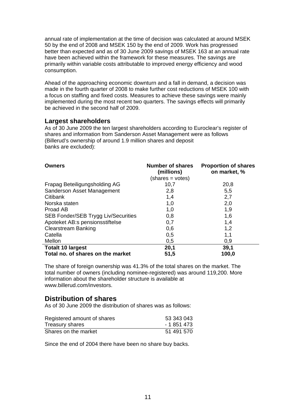annual rate of implementation at the time of decision was calculated at around MSEK 50 by the end of 2008 and MSEK 150 by the end of 2009. Work has progressed better than expected and as of 30 June 2009 savings of MSEK 163 at an annual rate have been achieved within the framework for these measures. The savings are primarily within variable costs attributable to improved energy efficiency and wood consumption.

Ahead of the approaching economic downturn and a fall in demand, a decision was made in the fourth quarter of 2008 to make further cost reductions of MSEK 100 with a focus on staffing and fixed costs. Measures to achieve these savings were mainly implemented during the most recent two quarters. The savings effects will primarily be achieved in the second half of 2009.

## **Largest shareholders**

As of 30 June 2009 the ten largest shareholders according to Euroclear's register of shares and information from Sanderson Asset Management were as follows (Billerud's ownership of around 1.9 million shares and deposit banks are excluded):

| <b>Owners</b>                       | <b>Number of shares</b><br>(millions) | <b>Proportion of shares</b><br>on market, % |  |
|-------------------------------------|---------------------------------------|---------------------------------------------|--|
|                                     | (shares = votes)                      |                                             |  |
| Frapag Beteiligungsholding AG       | 10,7                                  | 20,8                                        |  |
| Sanderson Asset Management          | 2,8                                   | 5,5                                         |  |
| Citibank                            | 1,4                                   | 2,7                                         |  |
| Norska staten                       | 1,0                                   | 2,0                                         |  |
| Proad AB                            | 1,0                                   | 1,9                                         |  |
| SEB Fonder/SEB Trygg Liv/Securities | 0,8                                   | 1,6                                         |  |
| Apoteket AB:s pensionsstiftelse     | 0,7                                   | 1,4                                         |  |
| <b>Clearstream Banking</b>          | 0,6                                   | 1,2                                         |  |
| Catella                             | 0,5                                   | 1,1                                         |  |
| Mellon                              | 0,5                                   | 0,9                                         |  |
| <b>Totalt 10 largest</b>            | 20,1                                  | 39,1                                        |  |
| Total no. of shares on the market   | 51,5                                  | 100,0                                       |  |

The share of foreign ownership was 41.3% of the total shares on the market. The total number of owners (including nominee-registered) was around 119,200. More information about the shareholder structure is available at www.billerud.com/investors.

## **Distribution of shares**

As of 30 June 2009 the distribution of shares was as follows:

| Registered amount of shares | 53 343 043  |
|-----------------------------|-------------|
| Treasury shares             | - 1 851 473 |
| Shares on the market        | 51 491 570  |

Since the end of 2004 there have been no share buy backs.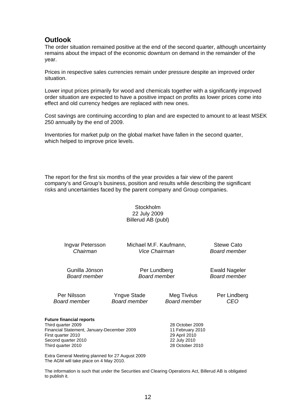## **Outlook**

The order situation remained positive at the end of the second quarter, although uncertainty remains about the impact of the economic downturn on demand in the remainder of the year.

Prices in respective sales currencies remain under pressure despite an improved order situation.

Lower input prices primarily for wood and chemicals together with a significantly improved order situation are expected to have a positive impact on profits as lower prices come into effect and old currency hedges are replaced with new ones.

Cost savings are continuing according to plan and are expected to amount to at least MSEK 250 annually by the end of 2009.

Inventories for market pulp on the global market have fallen in the second quarter, which helped to improve price levels.

The report for the first six months of the year provides a fair view of the parent company's and Group's business, position and results while describing the significant risks and uncertainties faced by the parent company and Group companies.

> **Stockholm** 22 July 2009 Billerud AB (publ)

| Ingvar Petersson                                                                                                                                                                                                                                                     | Michael M.F. Kaufmann, | Stewe Cato                                                                              |              |
|----------------------------------------------------------------------------------------------------------------------------------------------------------------------------------------------------------------------------------------------------------------------|------------------------|-----------------------------------------------------------------------------------------|--------------|
| Chairman                                                                                                                                                                                                                                                             | Vice Chairman          | <b>Board member</b>                                                                     |              |
| Gunilla Jönson                                                                                                                                                                                                                                                       | Per Lundberg           | <b>Ewald Nageler</b>                                                                    |              |
| Board member                                                                                                                                                                                                                                                         | Board member           | Board member                                                                            |              |
| Per Nilsson                                                                                                                                                                                                                                                          | Yngve Stade            | Meg Tivéus                                                                              | Per Lindberg |
| Board member                                                                                                                                                                                                                                                         | Board member           | <b>Board member</b>                                                                     | CEO          |
| <b>Future financial reports</b><br>Third quarter 2009<br>Financial Statement, January-December 2009<br>First quarter 2010<br>Second quarter 2010<br>Third quarter 2010<br>Extra General Meeting planned for 27 August 2009<br>The AGM will take place on 4 May 2010. |                        | 28 October 2009<br>11 February 2010<br>29 April 2010<br>22 July 2010<br>28 October 2010 |              |

The information is such that under the Securities and Clearing Operations Act, Billerud AB is obligated to publish it.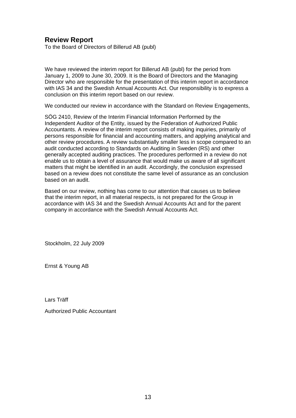## **Review Report**

To the Board of Directors of Billerud AB (publ)

We have reviewed the interim report for Billerud AB (publ) for the period from January 1, 2009 to June 30, 2009. It is the Board of Directors and the Managing Director who are responsible for the presentation of this interim report in accordance with IAS 34 and the Swedish Annual Accounts Act. Our responsibility is to express a conclusion on this interim report based on our review.

We conducted our review in accordance with the Standard on Review Engagements,

SÖG 2410, Review of the Interim Financial Information Performed by the Independent Auditor of the Entity, issued by the Federation of Authorized Public Accountants. A review of the interim report consists of making inquiries, primarily of persons responsible for financial and accounting matters, and applying analytical and other review procedures. A review substantially smaller less in scope compared to an audit conducted according to Standards on Auditing in Sweden (RS) and other generally accepted auditing practices. The procedures performed in a review do not enable us to obtain a level of assurance that would make us aware of all significant matters that might be identified in an audit. Accordingly, the conclusion expressed based on a review does not constitute the same level of assurance as an conclusion based on an audit.

Based on our review, nothing has come to our attention that causes us to believe that the interim report, in all material respects, is not prepared for the Group in accordance with IAS 34 and the Swedish Annual Accounts Act and for the parent company in accordance with the Swedish Annual Accounts Act.

Stockholm, 22 July 2009

Ernst & Young AB

Lars Träff

Authorized Public Accountant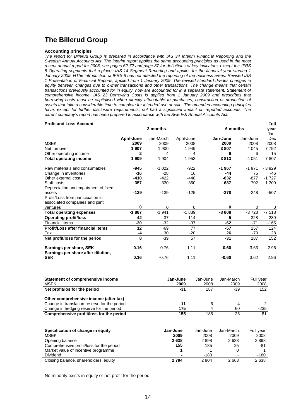## **The Billerud Group**

#### **Accounting principles**

*The report for Billerud Group is prepared in accordance with IAS 34 Interim Financial Reporting and the Swedish Annual Accounts Act. The interim report applies the same accounting principles as used in the most recent annual report for 2008, see pages 62-72 and page 87 for definitions of key indicators, except for: IFRS 8 Operating segments that replaces IAS 14 Segment Reporting and applies for the financial year starting 1 January 2009. HThe introduction of IFRS 8 has not affected the reporting of the business areas. Revised IAS 1 Presentation of Financial Reports, applied from 1 January 2009. The revised standard divides changes in equity between changes due to owner transactions and other transactions. The change means that certain transactions previously accounted for in equity, now are accounted for in a separate statement, Statement of comprehensive income. IAS 23 Borrowing Costs is applied from 1 January 2009 and prescribes that*  **borrowing costs must be capitalised when directly attributable to purchases, construction or production of** *assets that take a considerable time to complete for intended use or sale. The amended accounting principles*  have, except for further disclosure requirements, not had a significant impact on reported accounts. The *parent company's report has been prepared in accordance with the Swedish Annual Accounts Act.* 

#### **Profit and Loss Account**

|                                                               |            | 3 months<br>6 months |            |              | vear     |         |
|---------------------------------------------------------------|------------|----------------------|------------|--------------|----------|---------|
|                                                               |            |                      |            |              |          | Jan-    |
|                                                               | April-June | Jan-March            | April-June | Jan-June     | Jan-June | Dec     |
| <b>MSEK</b>                                                   | 2009       | 2009                 | 2008       | 2009         | 2008     | 2008    |
| Net turnover                                                  | 1 907      | 1 900                | 1949       | 3807         | 4 0 4 5  | 7792    |
| Other operating income                                        | 2          | 4                    | 4          | 6            | 6        | 15      |
| <b>Total operating income</b>                                 | 1 909      | 1 9 0 4              | 1953       | 3813         | 4 0 51   | 7807    |
| Raw materials and consumables                                 | $-945$     | $-1022$              | $-922$     | $-1967$      | $-1971$  | $-3929$ |
| Change in inventories                                         | $-16$      | $-28$                | 16         | $-44$        | 75       | $-46$   |
| Other external costs                                          | $-410$     | $-422$               | $-448$     | $-832$       | $-877$   | $-1727$ |
| Staff costs                                                   | $-357$     | $-330$               | $-360$     | -687         | $-702$   | $-1309$ |
| Depreciation and impairment of fixed                          |            |                      |            |              |          |         |
| assets                                                        | $-139$     | $-139$               | $-125$     | $-278$       | $-248$   | $-507$  |
| Profit/Loss from participation in                             |            |                      |            |              |          |         |
| associated companies and joint                                |            |                      |            |              |          |         |
| ventures                                                      | 0          | 0                    | 0          | <sup>0</sup> | 0        | 0       |
| <b>Total operating expenses</b>                               | $-1867$    | $-1941$              | $-1839$    | $-3808$      | $-3723$  | $-7518$ |
| <b>Operating profit/loss</b>                                  | 42         | -37                  | 114        | 5            | 328      | 289     |
| <b>Financial items</b>                                        | $-30$      | -32                  | -37        | $-62$        | $-71$    | $-165$  |
| Profit/Loss after financial items                             | 12         | -69                  | 77         | $-57$        | 257      | 124     |
| Tax                                                           | -4         | 30                   | $-20$      | 26           | $-70$    | 28      |
| Net profit/loss for the period                                | 8          | $-39$                | 57         | $-31$        | 187      | 152     |
| Earnings per share, SEK<br>Earnings per share after dilution, | 0.16       | $-0.76$              | 1.11       | $-0.60$      | 3.63     | 2.96    |
| <b>SEK</b>                                                    | 0.16       | $-0.76$              | 1.11       | $-0.60$      | 3.62     | 2.96    |

**Full** 

| Statement of comprehensive income            | Jan-June | Jan-June | Jan-March | Full vear |
|----------------------------------------------|----------|----------|-----------|-----------|
| <b>MSEK</b>                                  | 2009     | 2008     | 2009      | 2008      |
| Net profit/los for the period                | -31      | 187      | $-39$     | 152       |
| Other comprehensive income (after tax)       |          |          |           |           |
| Change in translation reserve for the period | 11       | -6       | 4         |           |
| Change in hedging reserve for the period     | 175      | 4        | 60        | $-235$    |
| Comprehensive profit/loss for the period     | 155      | 185      | 25        | -81       |

| Specification of change in equity        | Jan-June | Jan-June | Jan-March | Full year |
|------------------------------------------|----------|----------|-----------|-----------|
| MSEK                                     | 2009     | 2008     | 2009      | 2008      |
| Opening balance                          | 2638     | 2898     | 2638      | 2898      |
| Comprehensive profit/loss for the period | 155      | 185      | 25        | -81       |
| Market value of incentive programme      |          |          |           |           |
| <b>Dividend</b>                          |          | $-180$   |           | $-180$    |
| Closing balance, shareholders' equity    | 2794     | 2 904    | 2663      | 2638      |

No minority exists in equity or net profit for the period.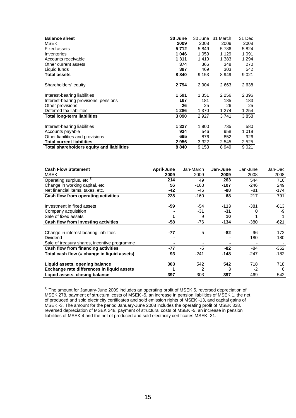| <b>Balance sheet</b>                      | 30 June | 30 June | 31 March | 31 Dec  |
|-------------------------------------------|---------|---------|----------|---------|
| <b>MSEK</b>                               | 2009    | 2008    | 2009     | 2008    |
| <b>Fixed assets</b>                       | 5712    | 5849    | 5786     | 5824    |
| Inventories                               | 1046    | 1 0 5 9 | 1 1 2 9  | 1 0 9 1 |
| Accounts receivable                       | 1 311   | 1410    | 1 383    | 1 2 9 4 |
| Other current assets                      | 374     | 366     | 348      | 270     |
| Liquid funds                              | 397     | 469     | 303      | 542     |
| <b>Total assets</b>                       | 8840    | 9 1 5 3 | 8949     | 9 0 21  |
| Shareholders' equity                      | 2 7 9 4 | 2 9 0 4 | 2663     | 2638    |
| Interest-bearing liabilities              | 1 591   | 1 351   | 2 2 5 6  | 2 3 9 6 |
| Interest-bearing provisions, pensions     | 187     | 181     | 185      | 183     |
| Other provisions                          | 26      | 25      | 26       | 25      |
| Deferred tax liabilities                  | 1 286   | 1 370   | 1 274    | 1 2 5 4 |
| <b>Total long-term liabilities</b>        | 3090    | 2927    | 3741     | 3858    |
| Interest-bearing liabilities              | 1 327   | 1 900   | 735      | 580     |
| Accounts payable                          | 934     | 546     | 958      | 1 0 1 9 |
| Other liabilities and provisions          | 695     | 876     | 852      | 926     |
| <b>Total current liabilities</b>          | 2956    | 3 3 2 2 | 2 5 4 5  | 2 5 2 5 |
| Total shareholders equity and liabilities | 8840    | 9 1 5 3 | 8949     | 9 0 21  |

| <b>Cash Flow Statement</b><br><b>MSEK</b>          | April-June<br>2009 | Jan-March<br>2009 | Jan-June<br>2009 | Jan-June<br>2008 | Jan-Dec<br>2008 |
|----------------------------------------------------|--------------------|-------------------|------------------|------------------|-----------------|
| Operating surplus, etc <sup>1)</sup>               | 214                | 49                | 263              | 544              | 716             |
| Change in working capital, etc.                    | 56                 | $-163$            | $-107$           | -246             | 249             |
| Net financial items, taxes, etc.                   | -42                | -46               | -88              | -81              | -174            |
| Cash flow from operating activities                | 228                | $-160$            | 68               | 217              | 791             |
| Investment in fixed assets                         | -59                | -54               | -113             | $-381$           | -613            |
| Company acquisition                                |                    | -31               | -31              |                  | -9              |
| Sale of fixed assets                               |                    | 9                 | 10               |                  |                 |
| Cash flow from investing activities                | -58                | $-76$             | $-134$           | $-380$           | $-621$          |
| Change in interest-bearing liabilities<br>Dividend | $-77$              | -5                | $-82$            | 96<br>-180       | -172<br>-180    |
| Sale of treasury shares, incentive programme       |                    |                   |                  |                  |                 |
| Cash flow from financing activities                | $-77$              | -5                | -82              | -84              | $-352$          |
| Total cash flow (= change in liquid assets)        | 93                 | $-241$            | $-148$           | $-247$           | $-182$          |
| Liquid assets, opening balance                     | 303                | 542               | 542              | 718              | 718             |
| Exchange rate differences in liquid assets         |                    |                   | 3                | -2               | 6               |
| Liquid assets, closing balance                     | 397                | 303               | 397              | 469              | 542             |

 $1)$  The amount for January-June 2009 includes an operating profit of MSEK 5, reversed depreciation of MSEK 278, payment of structural costs of MSEK -5, an increase in pension liabilities of MSEK 1, the net of produced and sold electricity certificates and sold emission rights of MSEK -13, and capital gains of MSEK -3. The amount for the period January-June 2008 includes the operating profit of MSEK 328, reversed depreciation of MSEK 248, payment of structural costs of MSEK -5, an increase in pension liabilities of MSEK 4 and the net of produced and sold electricity certificates MSEK -31.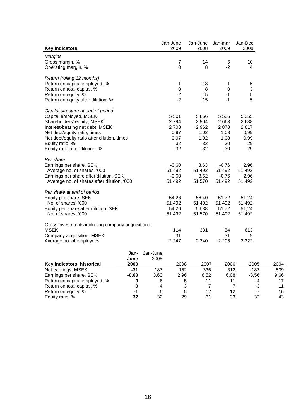|                                                   |         |          | Jan-June                  | Jan-June       | Jan-mar        | Jan-Dec     |      |
|---------------------------------------------------|---------|----------|---------------------------|----------------|----------------|-------------|------|
| <b>Key indicators</b>                             |         |          | 2009                      | 2008           | 2009           | 2008        |      |
| <b>Margins</b>                                    |         |          |                           |                |                |             |      |
| Gross margin, %                                   |         |          | $\overline{7}$            | 14             | $\mathbf 5$    | 10          |      |
| Operating margin, %                               |         |          | 0                         | 8              | $-2$           | 4           |      |
| Return (rolling 12 months)                        |         |          |                           |                |                |             |      |
| Return on capital employed, %                     |         |          | $-1$                      | 13             | 1              | $\sqrt{5}$  |      |
| Return on total capital, %                        |         |          | $\mathsf 0$               | 8              | 0              | $\mathsf 3$ |      |
| Return on equity, %                               |         |          | $-2$                      | 15             | $-1$           | $\mathbf 5$ |      |
| Return on equity after dilution, %                |         |          | $-2$                      | 15             | $-1$           | 5           |      |
| Capital structure at end of period                |         |          |                           |                |                |             |      |
| Capital employed, MSEK                            |         |          | 5 5 0 1                   | 5866           | 5 5 3 6        | 5 2 5 5     |      |
| Shareholders' equity, MSEK                        |         |          | 2794                      | 2 9 0 4        | 2663           | 2638        |      |
| Interest-bearing net debt, MSEK                   |         |          | 2708                      | 2 9 6 2        | 2873           | 2617        |      |
| Net debt/equity ratio, times                      |         |          | 0.97                      | 1.02           | 1.08           | 0.99        |      |
| Net debt/equity ratio after dilution, times       |         |          | 0.97                      | 1.02           | 1.08           | 0.99        |      |
| Equity ratio, %                                   |         |          | 32                        | 32             | 30             | 29          |      |
| Equity ratio after dilution, %                    |         |          | 32                        | 32             | 30             | 29          |      |
| Per share                                         |         |          |                           |                |                |             |      |
| Earnings per share, SEK                           |         |          | $-0.60$                   | 3.63           | $-0.76$        | 2.96        |      |
| Average no. of shares, '000                       |         |          | 51 492                    | 51 492         | 51 492         | 51 492      |      |
| Earnings per share after dilution, SEK            |         |          | $-0.60$                   | 3.62           | $-0.76$        | 2.96        |      |
| Average no. of shares after dilution, '000        |         |          | 51 492                    | 51 570         | 51 492         | 51 492      |      |
| Per share at end of period                        |         |          |                           |                |                |             |      |
| Equity per share, SEK                             |         |          | 54.26                     | 56.40          | 51.72          | 51.24       |      |
| No. of shares, '000                               |         |          | 51 492                    | 51 492         | 51 492         | 51 492      |      |
| Equity per share after dilution, SEK              |         |          | 54,26                     | 56,38          | 51,72          | 51,24       |      |
| No. of shares, '000                               |         |          | 51 492                    | 51 570         | 51 492         | 51 492      |      |
| Gross investments including company acquisitions, |         |          |                           |                |                |             |      |
| <b>MSEK</b>                                       |         |          | 114                       | 381            | 54             | 613         |      |
| Company acquisition, MSEK                         |         |          | 31                        |                | 31             | 9           |      |
| Average no. of employees                          |         |          | 2 2 4 7                   | 2 3 4 0        | 2 2 0 5        | 2 3 2 2     |      |
|                                                   | Jan-    | Jan-June |                           |                |                |             |      |
|                                                   | June    | 2008     |                           |                |                |             |      |
| Key indicators, historical                        | 2009    |          | 2008                      | 2007           | 2006           | 2005        | 2004 |
| Net earnings, MSEK                                | $-31$   | 187      | 152                       | 336            | 312            | $-183$      | 509  |
| Earnings per share, SEK                           | $-0.60$ | 3.63     | 2.96                      | 6.52           | 6.08           | $-3.56$     | 9.66 |
| Return on capital employed, %                     | 0       | 6        | 5                         | 11             | 11             | -4          | 17   |
| Return on total capital, %                        | 0       | 4        | $\ensuremath{\mathsf{3}}$ | $\overline{7}$ | $\overline{7}$ | -3          | 11   |
| Return on equity, %                               | -1      | 6        | 5                         | 12             | 12             | -7          | 16   |
| Equity ratio, %                                   | 32      | 32       | 29                        | 31             | 33             | 33          | 43   |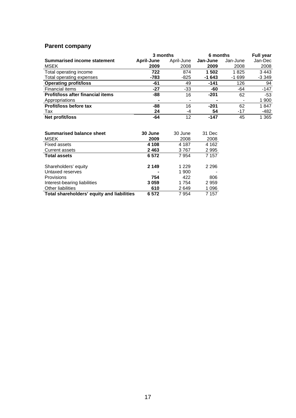## **Parent company**

|                                   | 3 months                 |            |          | 6 months       |         |  |  |
|-----------------------------------|--------------------------|------------|----------|----------------|---------|--|--|
| Summarised income statement       | April-June               | April-June | Jan-June | Jan-June       | Jan-Dec |  |  |
| <b>MSEK</b>                       | 2009                     | 2008       | 2009     | 2008           | 2008    |  |  |
| Total operating income            | 722                      | 874        | 1 502    | 1825           | 3 4 4 3 |  |  |
| Total operating expenses          | -783                     | $-825$     | $-1643$  | $-1699$        | $-3349$ |  |  |
| <b>Operating profit/loss</b>      | -61                      | 49         | $-141$   | 126            | 94      |  |  |
| <b>Financial items</b>            | -27                      | -33        | -60      | -64            | $-147$  |  |  |
| Profit/loss after financial items | -88                      | 16         | $-201$   | 62             | $-53$   |  |  |
| Appropriations                    | $\overline{\phantom{a}}$ | $\,$       | ۰        | $\blacksquare$ | 1 900   |  |  |
| Profit/loss before tax            | -88                      | 16         | $-201$   | 62             | 1847    |  |  |
| Tax                               | 24                       | -4         | 54       | $-17$          | $-482$  |  |  |
| Net profit/loss                   | -64                      | 12         | $-147$   | 45             | 1 3 6 5 |  |  |

| <b>Summarised balance sheet</b>            | 30 June | 30 June | 31 Dec  |
|--------------------------------------------|---------|---------|---------|
| MSEK                                       | 2009    | 2008    | 2008    |
| <b>Fixed assets</b>                        | 4 108   | 4 187   | 4 1 6 2 |
| Current assets                             | 2463    | 3767    | 2 9 9 5 |
| <b>Total assets</b>                        | 6 5 7 2 | 7954    | 7 1 5 7 |
|                                            |         |         |         |
| Shareholders' equity                       | 2 1 4 9 | 1 2 2 9 | 2 2 9 6 |
| Untaxed reserves                           |         | 1 900   |         |
| <b>Provisions</b>                          | 754     | 422     | 806     |
| Interest-bearing liabilities               | 3059    | 1 754   | 2959    |
| Other liabilities                          | 610     | 2649    | 1 0 9 6 |
| Total shareholders' equity and liabilities | 6 572   | 7954    | 7 157   |